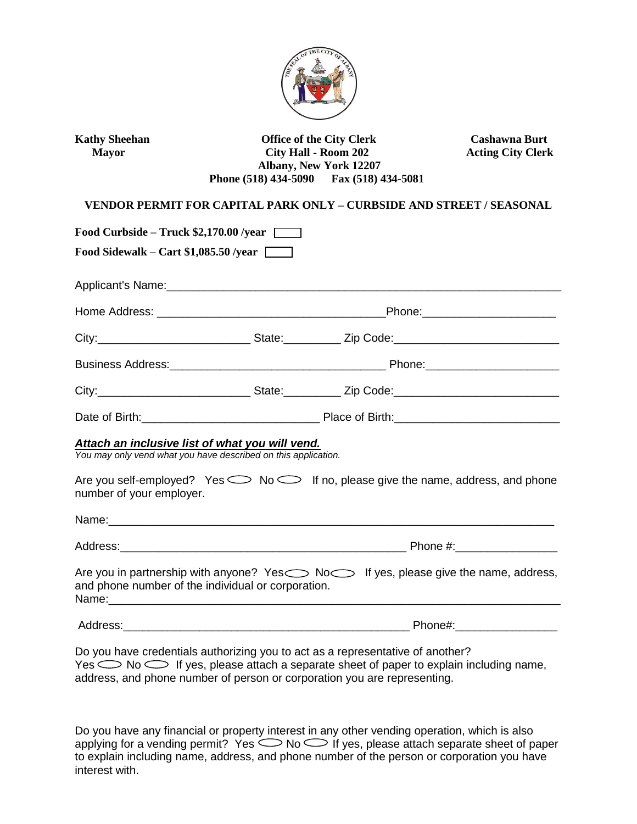

Kathy Sheehan **Office of the City Clerk** Cashawna Burt  **Mayor City Hall - Room 202 Acting City Clerk Albany, New York 12207 Phone (518) 434-5090 Fax (518) 434-5081** 

## **VENDOR PERMIT FOR CAPITAL PARK ONLY – CURBSIDE AND STREET / SEASONAL**

| Food Curbside – Truck \$2,170.00 /year                                                                            |  |                                                                                                         |  |
|-------------------------------------------------------------------------------------------------------------------|--|---------------------------------------------------------------------------------------------------------|--|
| Food Sidewalk – Cart \$1,085.50 /year                                                                             |  |                                                                                                         |  |
|                                                                                                                   |  |                                                                                                         |  |
|                                                                                                                   |  |                                                                                                         |  |
|                                                                                                                   |  |                                                                                                         |  |
|                                                                                                                   |  |                                                                                                         |  |
|                                                                                                                   |  |                                                                                                         |  |
|                                                                                                                   |  |                                                                                                         |  |
| Attach an inclusive list of what you will vend.<br>You may only vend what you have described on this application. |  |                                                                                                         |  |
| number of your employer.                                                                                          |  | Are you self-employed? Yes $\bigcirc$ No $\bigcirc$ If no, please give the name, address, and phone     |  |
|                                                                                                                   |  |                                                                                                         |  |
|                                                                                                                   |  |                                                                                                         |  |
| and phone number of the individual or corporation.                                                                |  | Are you in partnership with anyone? Yes $\bigcirc$ No $\bigcirc$ If yes, please give the name, address, |  |
|                                                                                                                   |  |                                                                                                         |  |
| Do you have credentials authorizing you to act as a representative of another?                                    |  |                                                                                                         |  |

Do you have credentials authorizing you to act as a representative of another?  $Yes \sim \text{No} \implies$  If yes, please attach a separate sheet of paper to explain including name, address, and phone number of person or corporation you are representing.

Do you have any financial or property interest in any other vending operation, which is also applying for a vending permit? Yes  $\bigcirc$  No  $\bigcirc$  if yes, please attach separate sheet of paper to explain including name, address, and phone number of the person or corporation you have interest with.